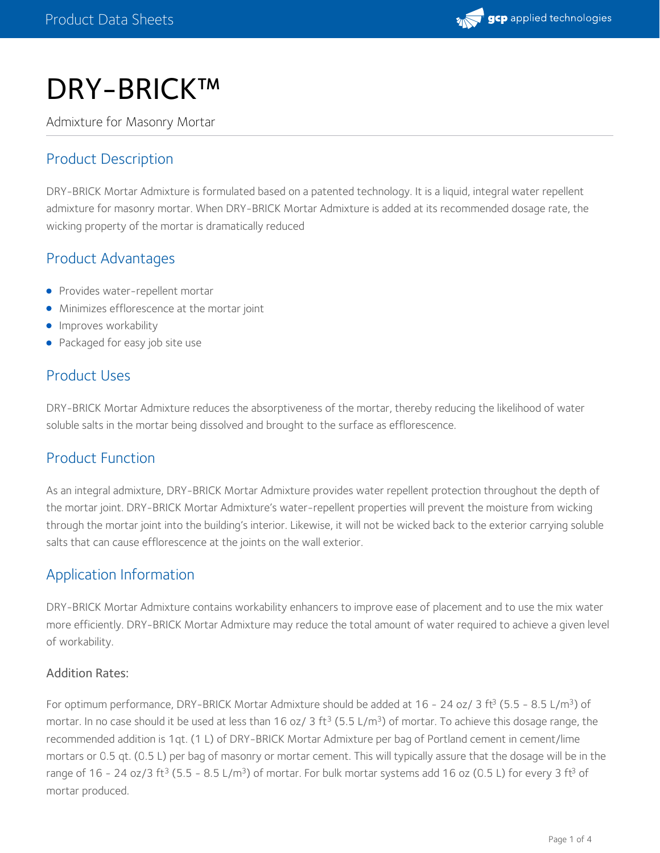

# DRY-BRICK™

Admixture for Masonry Mortar

## Product Description

DRY-BRICK Mortar Admixture is formulated based on a patented technology. It is a liquid, integral water repellent admixture for masonry mortar. When DRY-BRICK Mortar Admixture is added at its recommended dosage rate, the wicking property of the mortar is dramatically reduced

#### Product Advantages

- Provides water-repellent mortar
- Minimizes efflorescence at the mortar joint
- **Improves workability**
- Packaged for easy job site use

#### Product Uses

DRY-BRICK Mortar Admixture reduces the absorptiveness of the mortar, thereby reducing the likelihood of water soluble salts in the mortar being dissolved and brought to the surface as efflorescence.

## Product Function

As an integral admixture, DRY-BRICK Mortar Admixture provides water repellent protection throughout the depth of the mortar joint. DRY-BRICK Mortar Admixture's water-repellent properties will prevent the moisture from wicking through the mortar joint into the building's interior. Likewise, it will not be wicked back to the exterior carrying soluble salts that can cause efflorescence at the joints on the wall exterior.

## Application Information

DRY-BRICK Mortar Admixture contains workability enhancers to improve ease of placement and to use the mix water more efficiently. DRY-BRICK Mortar Admixture may reduce the total amount of water required to achieve a given level of workability.

#### Addition Rates:

For optimum performance, DRY-BRICK Mortar Admixture should be added at 16 - 24 oz/ 3 ft<sup>3</sup> (5.5 - 8.5 L/m<sup>3</sup>) of mortar. In no case should it be used at less than 16 oz/ 3 ft $^3$  (5.5 L/m $^3$ ) of mortar. To achieve this dosage range, the recommended addition is 1qt. (1 L) of DRY-BRICK Mortar Admixture per bag of Portland cement in cement/lime mortars or 0.5 qt. (0.5 L) per bag of masonry or mortar cement. This will typically assure that the dosage will be in the range of 16 - 24 oz/3 ft<sup>3</sup> (5.5 - 8.5 L/m<sup>3</sup>) of mortar. For bulk mortar systems add 16 oz (0.5 L) for every 3 ft<sup>3</sup> of mortar produced.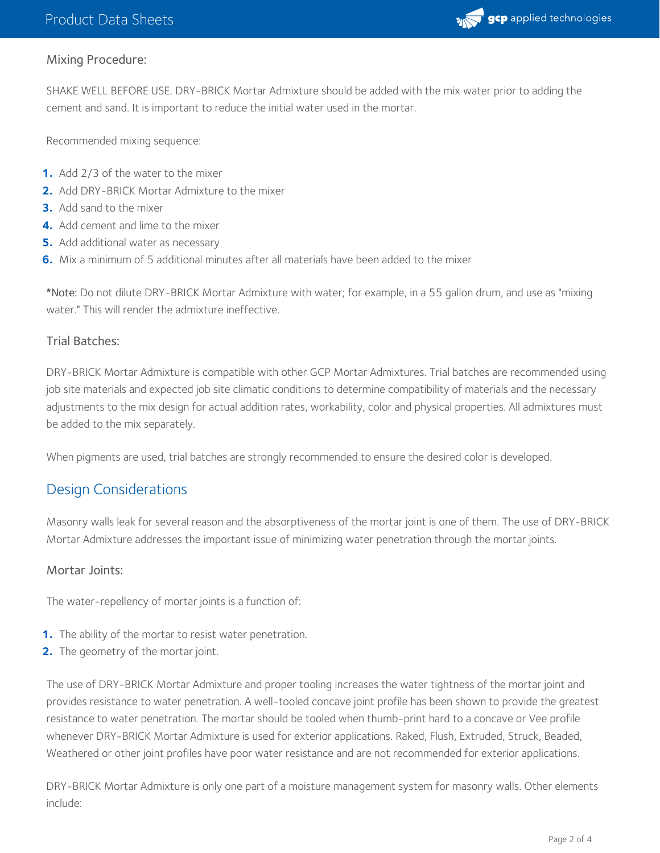

#### Mixing Procedure:

SHAKE WELL BEFORE USE. DRY-BRICK Mortar Admixture should be added with the mix water prior to adding the cement and sand. It is important to reduce the initial water used in the mortar.

Recommended mixing sequence:

- **1.** Add 2/3 of the water to the mixer
- **2.** Add DRY-BRICK Mortar Admixture to the mixer
- **3.** Add sand to the mixer
- **4.** Add cement and lime to the mixer
- **5.** Add additional water as necessary
- **6.** Mix a minimum of 5 additional minutes after all materials have been added to the mixer

\*Note: Do not dilute DRY-BRICK Mortar Admixture with water; for example, in a 55 gallon drum, and use as "mixing water." This will render the admixture ineffective.

#### Trial Batches:

DRY-BRICK Mortar Admixture is compatible with other GCP Mortar Admixtures. Trial batches are recommended using job site materials and expected job site climatic conditions to determine compatibility of materials and the necessary adjustments to the mix design for actual addition rates, workability, color and physical properties. All admixtures must be added to the mix separately.

When pigments are used, trial batches are strongly recommended to ensure the desired color is developed.

## Design Considerations

Masonry walls leak for several reason and the absorptiveness of the mortar joint is one of them. The use of DRY-BRICK Mortar Admixture addresses the important issue of minimizing water penetration through the mortar joints.

#### Mortar Joints:

The water-repellency of mortar joints is a function of:

- **1.** The ability of the mortar to resist water penetration.
- **2.** The geometry of the mortar joint.

The use of DRY-BRICK Mortar Admixture and proper tooling increases the water tightness of the mortar joint and provides resistance to water penetration. A well-tooled concave joint profile has been shown to provide the greatest resistance to water penetration. The mortar should be tooled when thumb-print hard to a concave or Vee profile whenever DRY-BRICK Mortar Admixture is used for exterior applications. Raked, Flush, Extruded, Struck, Beaded, Weathered or other joint profiles have poor water resistance and are not recommended for exterior applications.

DRY-BRICK Mortar Admixture is only one part of a moisture management system for masonry walls. Other elements include: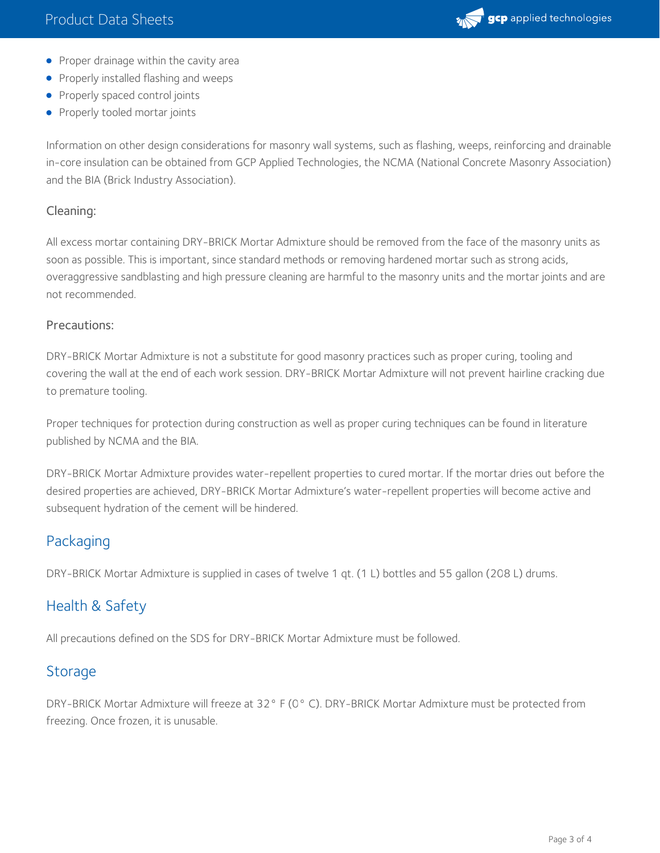

- Proper drainage within the cavity area
- **•** Properly installed flashing and weeps
- Properly spaced control joints
- Properly tooled mortar joints

Information on other design considerations for masonry wall systems, such as flashing, weeps, reinforcing and drainable in-core insulation can be obtained from GCP Applied Technologies, the NCMA (National Concrete Masonry Association) and the BIA (Brick Industry Association).

#### Cleaning:

All excess mortar containing DRY-BRICK Mortar Admixture should be removed from the face of the masonry units as soon as possible. This is important, since standard methods or removing hardened mortar such as strong acids, overaggressive sandblasting and high pressure cleaning are harmful to the masonry units and the mortar joints and are not recommended.

#### Precautions:

DRY-BRICK Mortar Admixture is not a substitute for good masonry practices such as proper curing, tooling and covering the wall at the end of each work session. DRY-BRICK Mortar Admixture will not prevent hairline cracking due to premature tooling.

Proper techniques for protection during construction as well as proper curing techniques can be found in literature published by NCMA and the BIA.

DRY-BRICK Mortar Admixture provides water-repellent properties to cured mortar. If the mortar dries out before the desired properties are achieved, DRY-BRICK Mortar Admixture's water-repellent properties will become active and subsequent hydration of the cement will be hindered.

#### Packaging

DRY-BRICK Mortar Admixture is supplied in cases of twelve 1 qt. (1 L) bottles and 55 gallon (208 L) drums.

## Health & Safety

All precautions defined on the SDS for DRY-BRICK Mortar Admixture must be followed.

## **Storage**

DRY-BRICK Mortar Admixture will freeze at 32° F (0° C). DRY-BRICK Mortar Admixture must be protected from freezing. Once frozen, it is unusable.